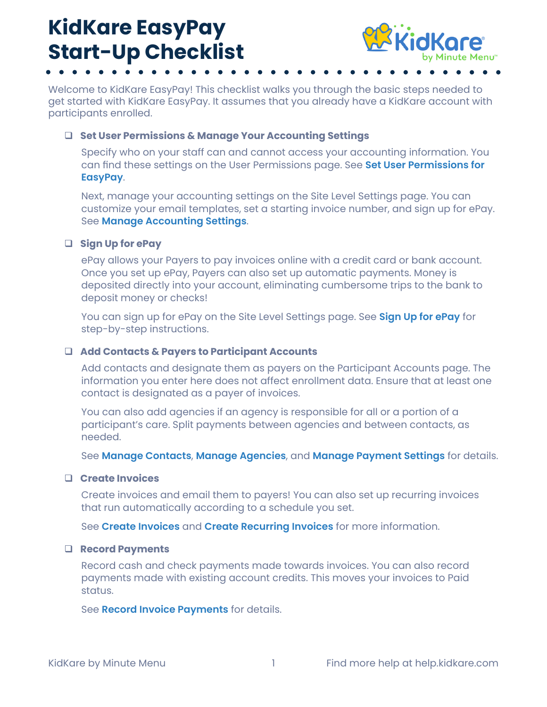## **KidKare EasyPay Start-Up Checklist**



Welcome to KidKare EasyPay! This checklist walks you through the basic steps needed to get started with KidKare EasyPay. It assumes that you already have a KidKare account with participants enrolled.

#### **Set User Permissions & Manage Your Accounting Settings**

Specify who on your staff can and cannot access your accounting information. You can find these settings on the User Permissions page. See **[Set User Permissions for](https://help.kidkare.com/help/set-user-permissions-for-easypay)  [EasyPay](https://help.kidkare.com/help/set-user-permissions-for-easypay)**.

Next, manage your accounting settings on the Site Level Settings page. You can customize your email templates, set a starting invoice number, and sign up for ePay. See **[Manage Accounting Settings](https://help.kidkare.com/help/manage-accounting-settings)**.

#### **Sign Up for ePay**

ePay allows your Payers to pay invoices online with a credit card or bank account. Once you set up ePay, Payers can also set up automatic payments. Money is deposited directly into your account, eliminating cumbersome trips to the bank to deposit money or checks!

You can sign up for ePay on the Site Level Settings page. See **[Sign Up for ePay](https://help.kidkare.com/help/sign-up-for-epay)** for step-by-step instructions.

#### **Add Contacts & Payers to Participant Accounts**

Add contacts and designate them as payers on the Participant Accounts page. The information you enter here does not affect enrollment data. Ensure that at least one contact is designated as a payer of invoices.

You can also add agencies if an agency is responsible for all or a portion of a participant's care. Split payments between agencies and between contacts, as needed.

See **[Manage Contacts](https://help.kidkare.com/help/manage-contacts)**, **[Manage Agencies](https://help.kidkare.com/help/manage-agencies)**, and **[Manage Payment Settings](https://help.kidkare.com/help/manage-payment-settings)** for details.

#### **Create Invoices**

Create invoices and email them to payers! You can also set up recurring invoices that run automatically according to a schedule you set.

See **[Create Invoices](https://help.kidkare.com/help/create-invoices)** and **[Create Recurring Invoices](https://help.kidkare.com/help/create-recurring-invoices)** for more information.

#### **Record Payments**

Record cash and check payments made towards invoices. You can also record payments made with existing account credits. This moves your invoices to Paid status.

See **[Record Invoice Payments](https://help.kidkare.com/help/record-invoice-payments)** for details.